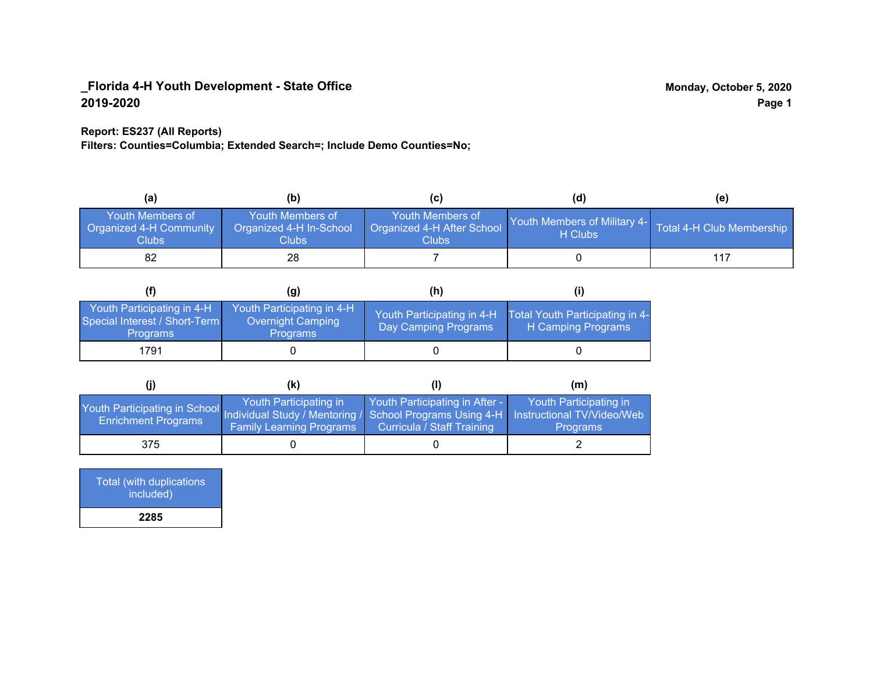#### **Report: ES237 (All Reports)**

**Filters: Counties=Columbia; Extended Search=; Include Demo Counties=No;**

| (a)                                                                | (b)                                                   | (C)                                                       | (d)                                                               | (e) |
|--------------------------------------------------------------------|-------------------------------------------------------|-----------------------------------------------------------|-------------------------------------------------------------------|-----|
| <b>Youth Members of</b><br><b>Organized 4-H Community</b><br>Clubs | Youth Members of<br>Organized 4-H In-School<br>Clubs: | Youth Members of<br>Organized 4-H After School<br>Clubs : | Youth Members of Military 4- Total 4-H Club Membership<br>H Clubs |     |
| 82                                                                 | 28                                                    |                                                           |                                                                   |     |

|                                                                                | (g)                                                                | (h)                                                |                                                       |
|--------------------------------------------------------------------------------|--------------------------------------------------------------------|----------------------------------------------------|-------------------------------------------------------|
| Youth Participating in 4-H<br>Special Interest / Short-Term<br><b>Programs</b> | Youth Participating in 4-H<br>Overnight Camping<br><b>Programs</b> | Youth Participating in 4-H<br>Day Camping Programs | Total Youth Participating in 4-<br>H Camping Programs |
| 1791                                                                           |                                                                    |                                                    |                                                       |

|                                                                                                                                                 | (k)                                                       |                                                              | (m)                                       |
|-------------------------------------------------------------------------------------------------------------------------------------------------|-----------------------------------------------------------|--------------------------------------------------------------|-------------------------------------------|
| Youth Participating in School Individual Study / Mentoring / School Programs Using 4-H Instructional TV/Video/Web<br><b>Enrichment Programs</b> | Youth Participating in<br><b>Family Learning Programs</b> | Youth Participating in After -<br>Curricula / Staff Training | Youth Participating in<br><b>Programs</b> |
| 375                                                                                                                                             |                                                           |                                                              |                                           |

| <b>Total (with duplications</b><br>included) |
|----------------------------------------------|
| 2285                                         |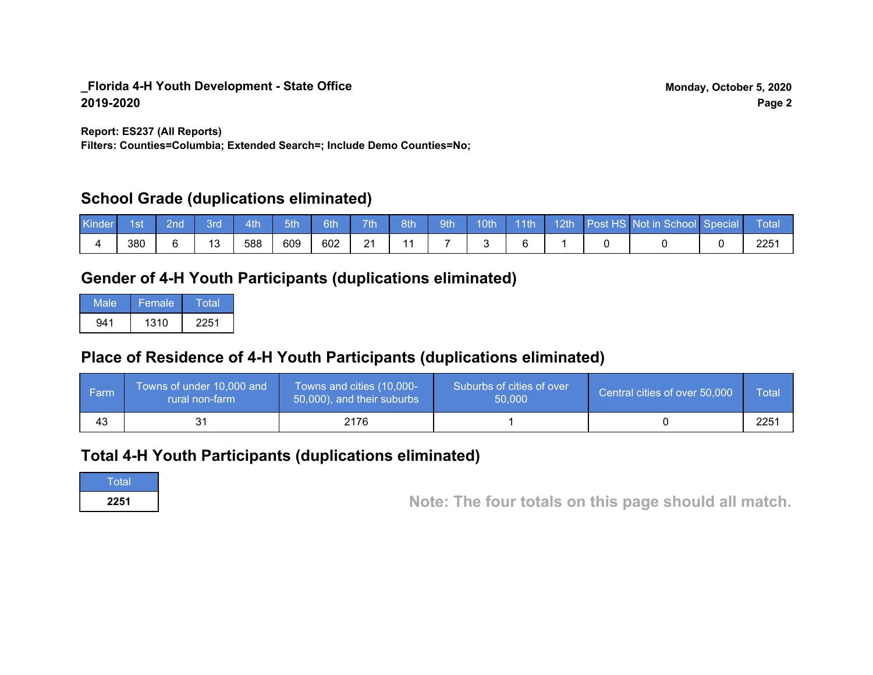**Report: ES237 (All Reports)**

**Filters: Counties=Columbia; Extended Search=; Include Demo Counties=No;**

## **School Grade (duplications eliminated)**

| Kinder | 1st | 2nd' | вrо       | Ath | 5th | 6th | 7th             | 8th | 9th | 10th | 11th | 12th | Post HS Not in School Special | Total |
|--------|-----|------|-----------|-----|-----|-----|-----------------|-----|-----|------|------|------|-------------------------------|-------|
|        | 380 |      | 12<br>ں ا | 588 | 609 | 602 | ດ 4<br><u>.</u> | 4 A |     |      |      |      |                               | 2251  |

# **Gender of 4-H Youth Participants (duplications eliminated)**

| Male | Female | Total |
|------|--------|-------|
| 941  | 1310   | 2251  |

# **Place of Residence of 4-H Youth Participants (duplications eliminated)**

| l Farm | Towns of under 10,000 and<br>rural non-farm | Towns and cities (10,000-<br>50,000), and their suburbs | Suburbs of cities of over<br>50,000 | Central cities of over 50,000 | Total            |
|--------|---------------------------------------------|---------------------------------------------------------|-------------------------------------|-------------------------------|------------------|
| 43     |                                             | 2176                                                    |                                     |                               | 225 <sup>′</sup> |

## **Total 4-H Youth Participants (duplications eliminated)**

**Total** 

**<sup>2251</sup> Note: The four totals on this page should all match.**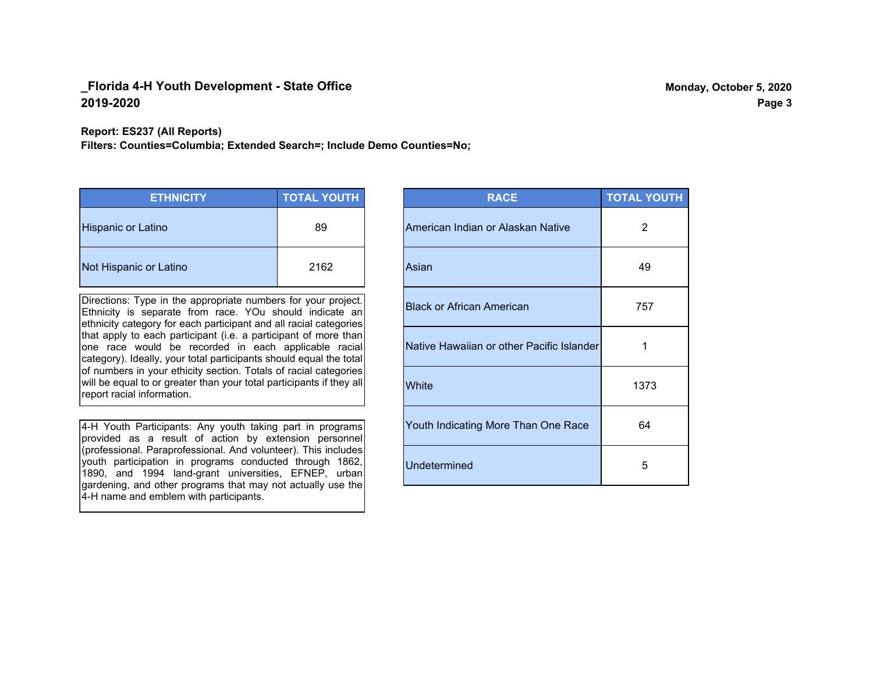#### **Report: ES237 (All Reports)**

**Filters: Counties=Columbia; Extended Search=; Include Demo Counties=No;**

| <b>ETHNICITY</b>       | <b>TOTAL YOUTH</b> |
|------------------------|--------------------|
| Hispanic or Latino     | 89                 |
| Not Hispanic or Latino | 2162               |

Directions: Type in the appropriate numbers for your project. Ethnicity is separate from race. YOu should indicate an ethnicity category for each participant and all racial categories that apply to each participant (i.e. a participant of more than one race would be recorded in each applicable racial category). Ideally, your total participants should equal the total of numbers in your ethicity section. Totals of racial categories will be equal to or greater than your total participants if they all report racial information.

4-H Youth Participants: Any youth taking part in programs provided as a result of action by extension personnel (professional. Paraprofessional. And volunteer). This includes youth participation in programs conducted through 1862, 1890, and 1994 land-grant universities, EFNEP, urban gardening, and other programs that may not actually use the 4-H name and emblem with participants.

| <b>RACE</b>                               | <b>TOTAL YOUTH</b> |
|-------------------------------------------|--------------------|
| American Indian or Alaskan Native         | 2                  |
| Asian                                     | 49                 |
| <b>Black or African American</b>          | 757                |
| Native Hawaiian or other Pacific Islander | 1                  |
| White                                     | 1373               |
| Youth Indicating More Than One Race       | 64                 |
| <b>Undetermined</b>                       | 5                  |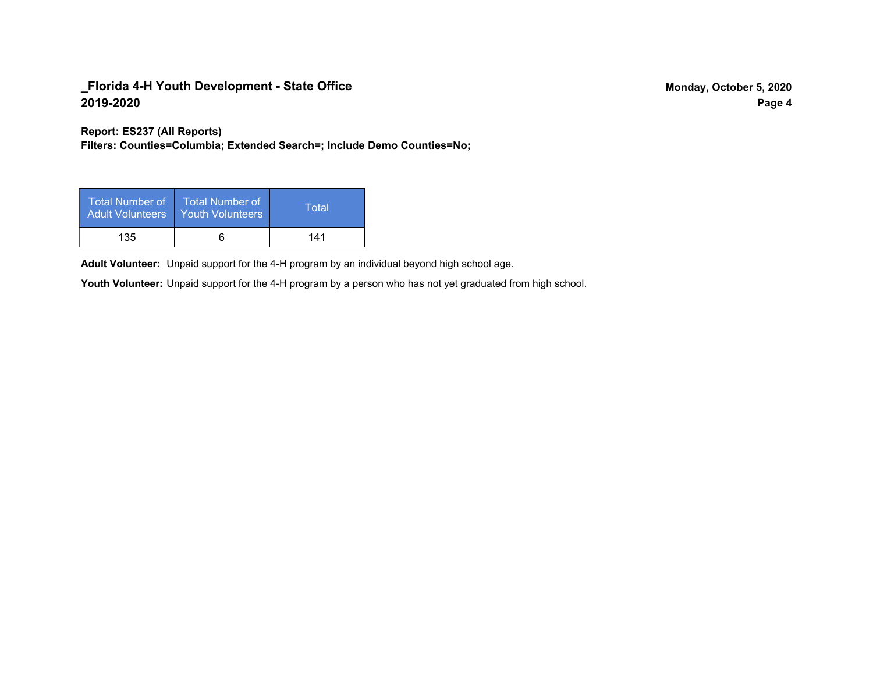**Report: ES237 (All Reports)**

**Filters: Counties=Columbia; Extended Search=; Include Demo Counties=No;**

| Total Number of<br>Adult Volunteers | <b>Total Number of</b><br><b>Youth Volunteers</b> | Total |
|-------------------------------------|---------------------------------------------------|-------|
| 135                                 |                                                   | 141   |

Adult Volunteer: Unpaid support for the 4-H program by an individual beyond high school age.

Youth Volunteer: Unpaid support for the 4-H program by a person who has not yet graduated from high school.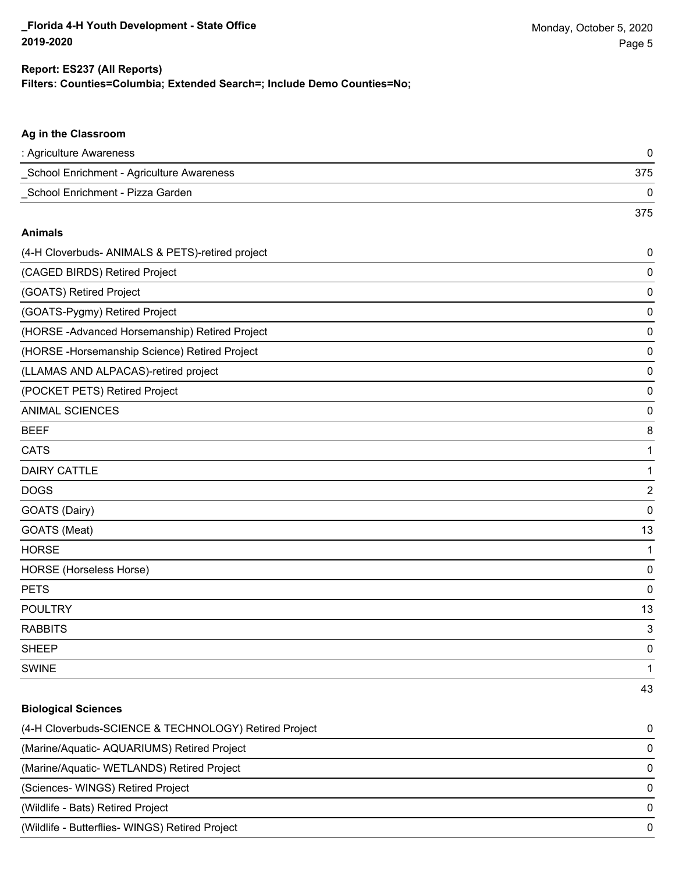375

## **Filters: Counties=Columbia; Extended Search=; Include Demo Counties=No; Report: ES237 (All Reports)**

## **Ag in the Classroom**

| : Agriculture Awareness                   |     |
|-------------------------------------------|-----|
| School Enrichment - Agriculture Awareness | 375 |
| School Enrichment - Pizza Garden          |     |

#### **Animals**

| (4-H Cloverbuds- ANIMALS & PETS)-retired project | 0  |
|--------------------------------------------------|----|
| (CAGED BIRDS) Retired Project                    | 0  |
| (GOATS) Retired Project                          | 0  |
| (GOATS-Pygmy) Retired Project                    | 0  |
| (HORSE-Advanced Horsemanship) Retired Project    | 0  |
| (HORSE-Horsemanship Science) Retired Project     | 0  |
| (LLAMAS AND ALPACAS)-retired project             | 0  |
| (POCKET PETS) Retired Project                    | 0  |
| <b>ANIMAL SCIENCES</b>                           | 0  |
| <b>BEEF</b>                                      | 8  |
| <b>CATS</b>                                      | 1  |
| <b>DAIRY CATTLE</b>                              | 1  |
| <b>DOGS</b>                                      | 2  |
| GOATS (Dairy)                                    | 0  |
| GOATS (Meat)                                     | 13 |
| <b>HORSE</b>                                     | 1  |
| <b>HORSE</b> (Horseless Horse)                   | 0  |
| <b>PETS</b>                                      | 0  |
| <b>POULTRY</b>                                   | 13 |
| <b>RABBITS</b>                                   | 3  |
| <b>SHEEP</b>                                     | 0  |
| <b>SWINE</b>                                     | 1  |
|                                                  | 43 |

## **Biological Sciences**

| (4-H Cloverbuds-SCIENCE & TECHNOLOGY) Retired Project | $\Omega$ |
|-------------------------------------------------------|----------|
| (Marine/Aquatic- AQUARIUMS) Retired Project           | $\Omega$ |
| (Marine/Aquatic-WETLANDS) Retired Project             | $\Omega$ |
| (Sciences- WINGS) Retired Project                     | $\Omega$ |
| (Wildlife - Bats) Retired Project                     | $\Omega$ |
| (Wildlife - Butterflies- WINGS) Retired Project       | $\Omega$ |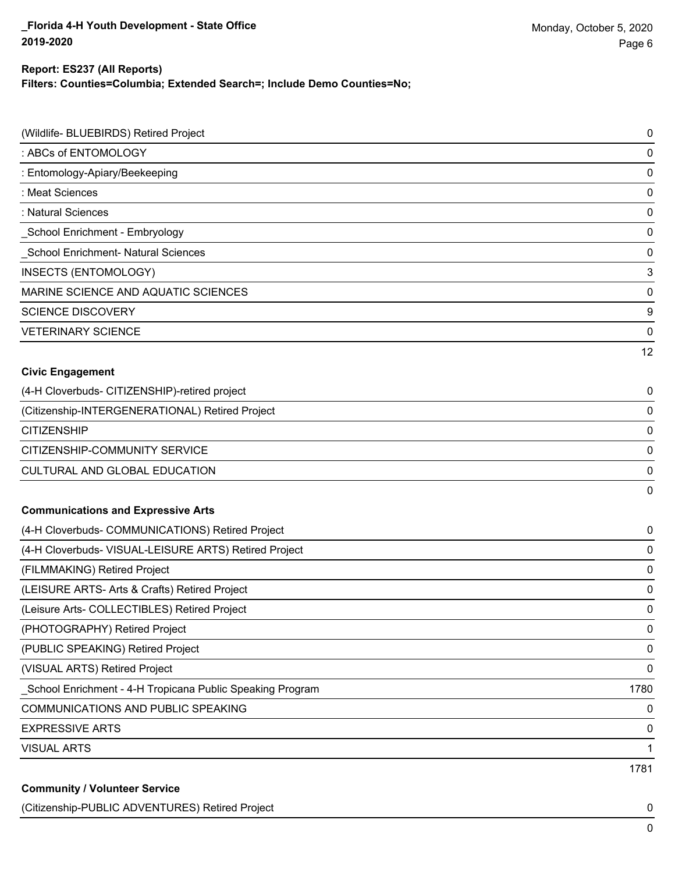#### **Report: ES237 (All Reports)**

**Filters: Counties=Columbia; Extended Search=; Include Demo Counties=No;**

| (Wildlife- BLUEBIRDS) Retired Project                      | $\mathbf 0$ |
|------------------------------------------------------------|-------------|
| : ABCs of ENTOMOLOGY                                       | $\mathbf 0$ |
| : Entomology-Apiary/Beekeeping                             | $\mathbf 0$ |
| : Meat Sciences                                            | 0           |
| : Natural Sciences                                         | $\mathbf 0$ |
| School Enrichment - Embryology                             | 0           |
| School Enrichment- Natural Sciences                        | $\mathbf 0$ |
| INSECTS (ENTOMOLOGY)                                       | 3           |
| MARINE SCIENCE AND AQUATIC SCIENCES                        | $\mathbf 0$ |
| <b>SCIENCE DISCOVERY</b>                                   | 9           |
| <b>VETERINARY SCIENCE</b>                                  | $\mathbf 0$ |
|                                                            | 12          |
| <b>Civic Engagement</b>                                    |             |
| (4-H Cloverbuds- CITIZENSHIP)-retired project              | 0           |
| (Citizenship-INTERGENERATIONAL) Retired Project            | $\mathbf 0$ |
| <b>CITIZENSHIP</b>                                         | 0           |
| CITIZENSHIP-COMMUNITY SERVICE                              | $\mathbf 0$ |
| <b>CULTURAL AND GLOBAL EDUCATION</b>                       | 0           |
|                                                            | 0           |
| <b>Communications and Expressive Arts</b>                  |             |
| (4-H Cloverbuds- COMMUNICATIONS) Retired Project           | 0           |
| (4-H Cloverbuds- VISUAL-LEISURE ARTS) Retired Project      | 0           |
| (FILMMAKING) Retired Project                               | 0           |
| (LEISURE ARTS- Arts & Crafts) Retired Project              | 0           |
| (Leisure Arts- COLLECTIBLES) Retired Project               | 0           |
| (PHOTOGRAPHY) Retired Project                              | 0           |
| (PUBLIC SPEAKING) Retired Project                          | $\mathbf 0$ |
| (VISUAL ARTS) Retired Project                              | 0           |
| _School Enrichment - 4-H Tropicana Public Speaking Program | 1780        |
| COMMUNICATIONS AND PUBLIC SPEAKING                         | $\pmb{0}$   |
| <b>EXPRESSIVE ARTS</b>                                     | 0           |
| <b>VISUAL ARTS</b>                                         | 1           |
|                                                            | 1781        |
| <b>Community / Volunteer Service</b>                       |             |

(Citizenship-PUBLIC ADVENTURES) Retired Project 0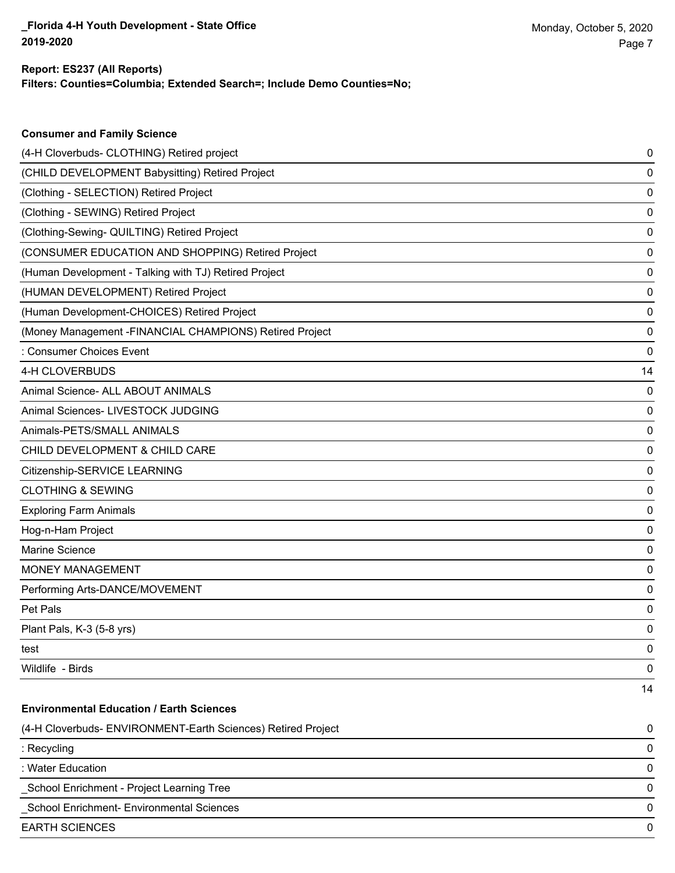**Consumer and Family Science**

#### **Filters: Counties=Columbia; Extended Search=; Include Demo Counties=No; Report: ES237 (All Reports)**

| (4-H Cloverbuds- CLOTHING) Retired project                   | 0  |
|--------------------------------------------------------------|----|
| (CHILD DEVELOPMENT Babysitting) Retired Project              | 0  |
| (Clothing - SELECTION) Retired Project                       | 0  |
| (Clothing - SEWING) Retired Project                          | 0  |
| (Clothing-Sewing- QUILTING) Retired Project                  | 0  |
| (CONSUMER EDUCATION AND SHOPPING) Retired Project            | 0  |
| (Human Development - Talking with TJ) Retired Project        | 0  |
| (HUMAN DEVELOPMENT) Retired Project                          | 0  |
| (Human Development-CHOICES) Retired Project                  | 0  |
| (Money Management -FINANCIAL CHAMPIONS) Retired Project      | 0  |
| : Consumer Choices Event                                     | 0  |
| 4-H CLOVERBUDS                                               | 14 |
| Animal Science- ALL ABOUT ANIMALS                            | 0  |
| Animal Sciences- LIVESTOCK JUDGING                           | 0  |
| Animals-PETS/SMALL ANIMALS                                   | 0  |
| CHILD DEVELOPMENT & CHILD CARE                               | 0  |
| Citizenship-SERVICE LEARNING                                 | 0  |
| <b>CLOTHING &amp; SEWING</b>                                 | 0  |
| <b>Exploring Farm Animals</b>                                | 0  |
| Hog-n-Ham Project                                            | 0  |
| Marine Science                                               | 0  |
| <b>MONEY MANAGEMENT</b>                                      | 0  |
| Performing Arts-DANCE/MOVEMENT                               | 0  |
| Pet Pals                                                     | 0  |
| Plant Pals, K-3 (5-8 yrs)                                    | 0  |
| test                                                         | 0  |
| Wildlife - Birds                                             | 0  |
|                                                              | 14 |
| <b>Environmental Education / Earth Sciences</b>              |    |
| (4-H Cloverbuds- ENVIRONMENT-Earth Sciences) Retired Project | 0  |
| : Recycling                                                  | 0  |
| : Water Education                                            | 0  |
| School Enrichment - Project Learning Tree                    | 0  |
| School Enrichment- Environmental Sciences                    | 0  |
| <b>EARTH SCIENCES</b>                                        | 0  |
|                                                              |    |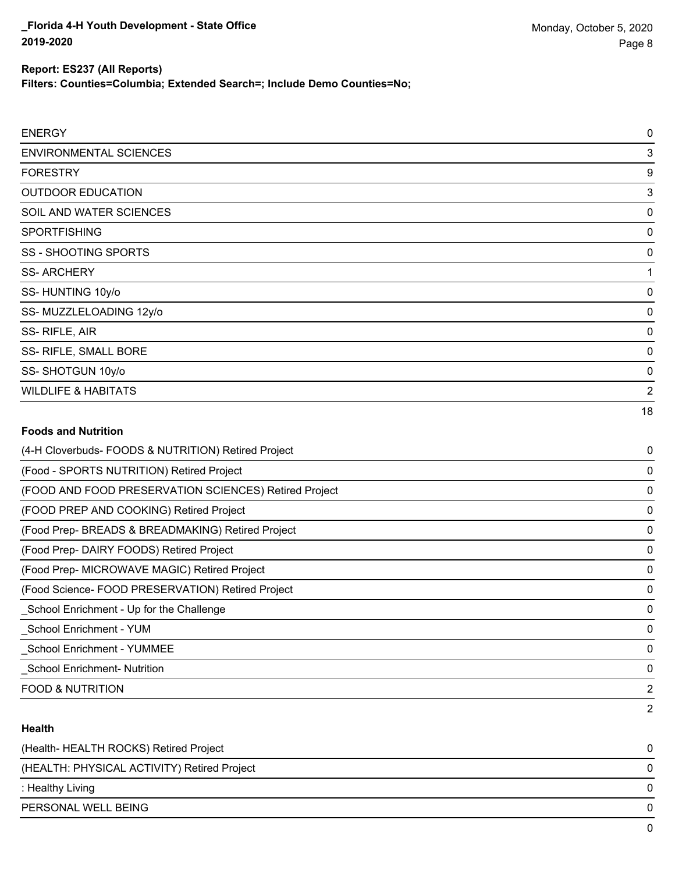#### **Report: ES237 (All Reports)**

**Filters: Counties=Columbia; Extended Search=; Include Demo Counties=No;**

| <b>ENERGY</b>                                         | 0              |
|-------------------------------------------------------|----------------|
| <b>ENVIRONMENTAL SCIENCES</b>                         | 3              |
| <b>FORESTRY</b>                                       | 9              |
| <b>OUTDOOR EDUCATION</b>                              | 3              |
| SOIL AND WATER SCIENCES                               | $\mathbf 0$    |
| <b>SPORTFISHING</b>                                   | 0              |
| <b>SS - SHOOTING SPORTS</b>                           | $\mathbf 0$    |
| <b>SS-ARCHERY</b>                                     | 1              |
| SS-HUNTING 10y/o                                      | 0              |
| SS-MUZZLELOADING 12y/o                                | 0              |
| SS-RIFLE, AIR                                         | 0              |
| SS- RIFLE, SMALL BORE                                 | 0              |
| SS-SHOTGUN 10y/o                                      | 0              |
| <b>WILDLIFE &amp; HABITATS</b>                        | $\overline{2}$ |
|                                                       | 18             |
| <b>Foods and Nutrition</b>                            |                |
| (4-H Cloverbuds- FOODS & NUTRITION) Retired Project   | 0              |
| (Food - SPORTS NUTRITION) Retired Project             | 0              |
| (FOOD AND FOOD PRESERVATION SCIENCES) Retired Project | 0              |
| (FOOD PREP AND COOKING) Retired Project               | 0              |
| (Food Prep- BREADS & BREADMAKING) Retired Project     | 0              |
| (Food Prep- DAIRY FOODS) Retired Project              | 0              |
| (Food Prep- MICROWAVE MAGIC) Retired Project          | 0              |
| (Food Science- FOOD PRESERVATION) Retired Project     | 0              |
| School Enrichment - Up for the Challenge              | 0              |

\_School Enrichment - YUM 0

\_School Enrichment - YUMMEE 0

\_School Enrichment- Nutrition 0

FOOD & NUTRITION 2

#### **Health**

| (Health-HEALTH ROCKS) Retired Project       |              |
|---------------------------------------------|--------------|
| (HEALTH: PHYSICAL ACTIVITY) Retired Project | <sup>n</sup> |
| : Healthy Living                            | 0            |
| PERSONAL WELL BEING                         | <sup>n</sup> |
|                                             |              |

2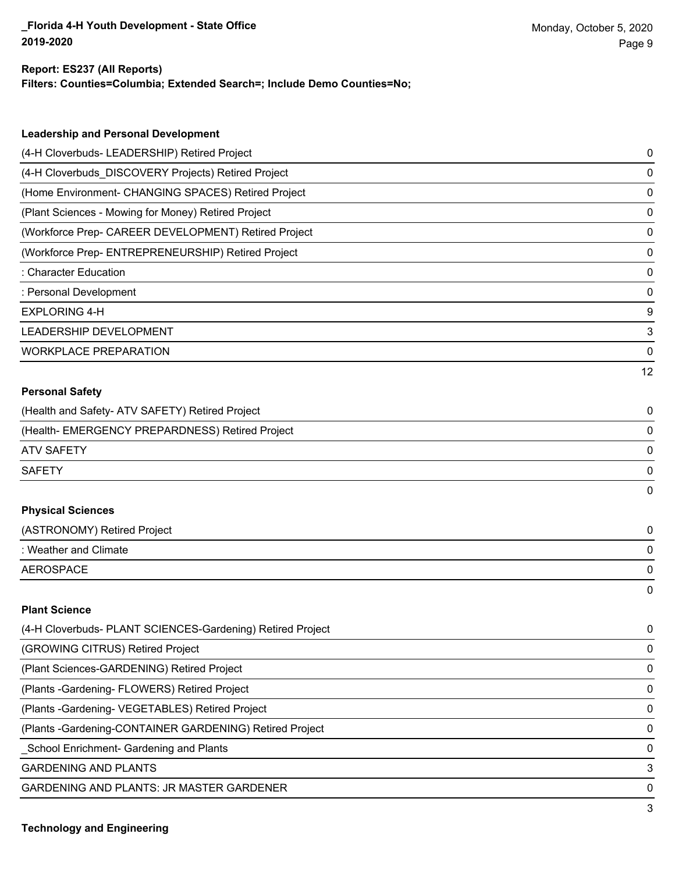#### **Report: ES237 (All Reports)**

**Filters: Counties=Columbia; Extended Search=; Include Demo Counties=No;**

| <b>Leadership and Personal Development</b>                 |    |
|------------------------------------------------------------|----|
| (4-H Cloverbuds- LEADERSHIP) Retired Project               | 0  |
| (4-H Cloverbuds_DISCOVERY Projects) Retired Project        | 0  |
| (Home Environment- CHANGING SPACES) Retired Project        | 0  |
| (Plant Sciences - Mowing for Money) Retired Project        | 0  |
| (Workforce Prep- CAREER DEVELOPMENT) Retired Project       | 0  |
| (Workforce Prep- ENTREPRENEURSHIP) Retired Project         | 0  |
| : Character Education                                      | 0  |
| : Personal Development                                     | 0  |
| <b>EXPLORING 4-H</b>                                       | 9  |
| <b>LEADERSHIP DEVELOPMENT</b>                              | 3  |
| <b>WORKPLACE PREPARATION</b>                               | 0  |
|                                                            | 12 |
| <b>Personal Safety</b>                                     |    |
| (Health and Safety- ATV SAFETY) Retired Project            | 0  |
| (Health- EMERGENCY PREPARDNESS) Retired Project            | 0  |
| <b>ATV SAFETY</b>                                          | 0  |
| <b>SAFETY</b>                                              | 0  |
|                                                            | 0  |
| <b>Physical Sciences</b>                                   |    |
| (ASTRONOMY) Retired Project                                | 0  |
| : Weather and Climate                                      | 0  |
| <b>AEROSPACE</b>                                           | 0  |
|                                                            | 0  |
| <b>Plant Science</b>                                       |    |
| (4-H Cloverbuds- PLANT SCIENCES-Gardening) Retired Project | 0  |
| (GROWING CITRUS) Retired Project                           | 0  |
| (Plant Sciences-GARDENING) Retired Project                 | 0  |
| (Plants - Gardening - FLOWERS) Retired Project             | 0  |
| (Plants - Gardening - VEGETABLES) Retired Project          | 0  |

(Plants -Gardening-CONTAINER GARDENING) Retired Project 0

\_School Enrichment- Gardening and Plants 0

**GARDENING AND PLANTS** 3

GARDENING AND PLANTS: JR MASTER GARDENER 0